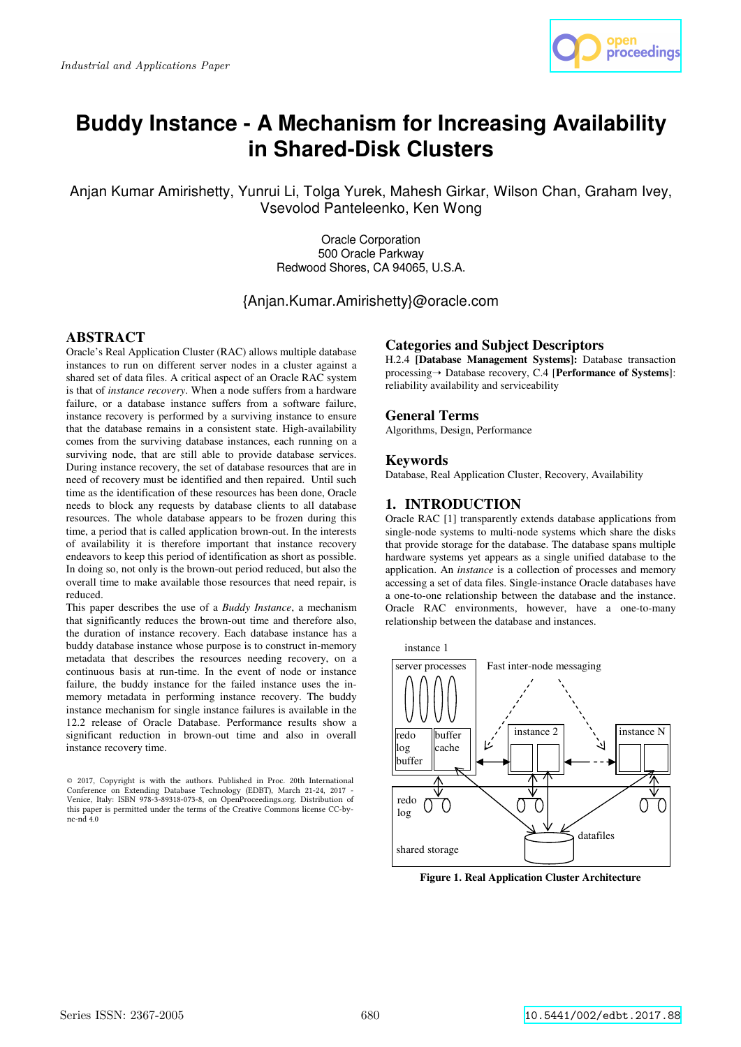

# **Buddy Instance - A Mechanism for Increasing Availability in Shared-Disk Clusters**

Anjan Kumar Amirishetty, Yunrui Li, Tolga Yurek, Mahesh Girkar, Wilson Chan, Graham Ivey, Vsevolod Panteleenko, Ken Wong

> Oracle Corporation 500 Oracle Parkway Redwood Shores, CA 94065, U.S.A.

{Anjan.Kumar.Amirishetty}@oracle.com

# **ABSTRACT**

Oracle's Real Application Cluster (RAC) allows multiple database instances to run on different server nodes in a cluster against a shared set of data files. A critical aspect of an Oracle RAC system is that of *instance recovery*. When a node suffers from a hardware failure, or a database instance suffers from a software failure, instance recovery is performed by a surviving instance to ensure that the database remains in a consistent state. High-availability comes from the surviving database instances, each running on a surviving node, that are still able to provide database services. During instance recovery, the set of database resources that are in need of recovery must be identified and then repaired. Until such time as the identification of these resources has been done, Oracle needs to block any requests by database clients to all database resources. The whole database appears to be frozen during this time, a period that is called application brown-out. In the interests of availability it is therefore important that instance recovery endeavors to keep this period of identification as short as possible. In doing so, not only is the brown-out period reduced, but also the overall time to make available those resources that need repair, is reduced.

This paper describes the use of a *Buddy Instance*, a mechanism that significantly reduces the brown-out time and therefore also, the duration of instance recovery. Each database instance has a buddy database instance whose purpose is to construct in-memory metadata that describes the resources needing recovery, on a continuous basis at run-time. In the event of node or instance failure, the buddy instance for the failed instance uses the inmemory metadata in performing instance recovery. The buddy instance mechanism for single instance failures is available in the 12.2 release of Oracle Database. Performance results show a significant reduction in brown-out time and also in overall instance recovery time.

# **Categories and Subject Descriptors**

H.2.4 **[Database Management Systems]:** Database transaction processing➝ Database recovery, C.4 [**Performance of Systems**]: reliability availability and serviceability

# **General Terms**

Algorithms, Design, Performance

### **Keywords**

Database, Real Application Cluster, Recovery, Availability

# **1. INTRODUCTION**

Oracle RAC [1] transparently extends database applications from single-node systems to multi-node systems which share the disks that provide storage for the database. The database spans multiple hardware systems yet appears as a single unified database to the application. An *instance* is a collection of processes and memory accessing a set of data files. Single-instance Oracle databases have a one-to-one relationship between the database and the instance. Oracle RAC environments, however, have a one-to-many relationship between the database and instances.



**Figure 1. Real Application Cluster Architecture** 

 $\odot$  2017, Copyright is with the authors. Published in Proc. 20th International Conference on Extending Database Technology (EDBT), March 21-24, 2017 -<br>Venice, Italy: ISBN 978-3-89318-073-8, on OpenProceedings.org. Distribution of this paper is permitted under the terms of the Creative Commons license CC-bync-nd 4.0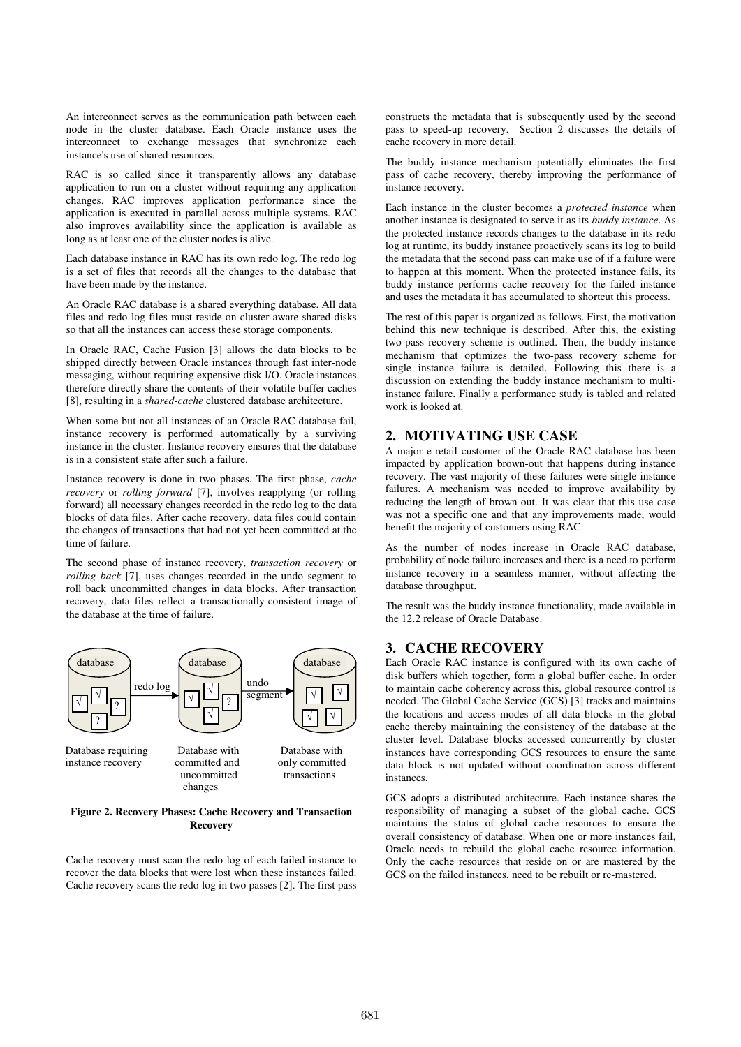An interconnect serves as the communication path between each node in the cluster database. Each Oracle instance uses the interconnect to exchange messages that synchronize each instance's use of shared resources.

RAC is so called since it transparently allows any database application to run on a cluster without requiring any application changes. RAC improves application performance since the application is executed in parallel across multiple systems. RAC also improves availability since the application is available as long as at least one of the cluster nodes is alive.

Each database instance in RAC has its own redo log. The redo log is a set of files that records all the changes to the database that have been made by the instance.

An Oracle RAC database is a shared everything database. All data files and redo log files must reside on cluster-aware shared disks so that all the instances can access these storage components.

In Oracle RAC, Cache Fusion [3] allows the data blocks to be shipped directly between Oracle instances through fast inter-node messaging, without requiring expensive disk I/O. Oracle instances therefore directly share the contents of their volatile buffer caches [8], resulting in a *shared-cache* clustered database architecture.

When some but not all instances of an Oracle RAC database fail, instance recovery is performed automatically by a surviving instance in the cluster. Instance recovery ensures that the database is in a consistent state after such a failure.

Instance recovery is done in two phases. The first phase, *cache recovery* or *rolling forward* [7], involves reapplying (or rolling forward) all necessary changes recorded in the redo log to the data blocks of data files. After cache recovery, data files could contain the changes of transactions that had not yet been committed at the time of failure.

The second phase of instance recovery, *transaction recovery* or *rolling back* [7], uses changes recorded in the undo segment to roll back uncommitted changes in data blocks. After transaction recovery, data files reflect a transactionally-consistent image of the database at the time of failure.



#### **Figure 2. Recovery Phases: Cache Recovery and Transaction Recovery**

Cache recovery must scan the redo log of each failed instance to recover the data blocks that were lost when these instances failed. Cache recovery scans the redo log in two passes [2]. The first pass

constructs the metadata that is subsequently used by the second pass to speed-up recovery. Section 2 discusses the details of cache recovery in more detail.

The buddy instance mechanism potentially eliminates the first pass of cache recovery, thereby improving the performance of instance recovery.

Each instance in the cluster becomes a *protected instance* when another instance is designated to serve it as its *buddy instance*. As the protected instance records changes to the database in its redo log at runtime, its buddy instance proactively scans its log to build the metadata that the second pass can make use of if a failure were to happen at this moment. When the protected instance fails, its buddy instance performs cache recovery for the failed instance and uses the metadata it has accumulated to shortcut this process.

The rest of this paper is organized as follows. First, the motivation behind this new technique is described. After this, the existing two-pass recovery scheme is outlined. Then, the buddy instance mechanism that optimizes the two-pass recovery scheme for single instance failure is detailed. Following this there is a discussion on extending the buddy instance mechanism to multiinstance failure. Finally a performance study is tabled and related work is looked at.

# **2. MOTIVATING USE CASE**

A major e-retail customer of the Oracle RAC database has been impacted by application brown-out that happens during instance recovery. The vast majority of these failures were single instance failures. A mechanism was needed to improve availability by reducing the length of brown-out. It was clear that this use case was not a specific one and that any improvements made, would benefit the majority of customers using RAC.

As the number of nodes increase in Oracle RAC database, probability of node failure increases and there is a need to perform instance recovery in a seamless manner, without affecting the database throughput.

The result was the buddy instance functionality, made available in the 12.2 release of Oracle Database.

# **3. CACHE RECOVERY**

Each Oracle RAC instance is configured with its own cache of disk buffers which together, form a global buffer cache. In order to maintain cache coherency across this, global resource control is needed. The Global Cache Service (GCS) [3] tracks and maintains the locations and access modes of all data blocks in the global cache thereby maintaining the consistency of the database at the cluster level. Database blocks accessed concurrently by cluster instances have corresponding GCS resources to ensure the same data block is not updated without coordination across different instances.

GCS adopts a distributed architecture. Each instance shares the responsibility of managing a subset of the global cache. GCS maintains the status of global cache resources to ensure the overall consistency of database. When one or more instances fail, Oracle needs to rebuild the global cache resource information. Only the cache resources that reside on or are mastered by the GCS on the failed instances, need to be rebuilt or re-mastered.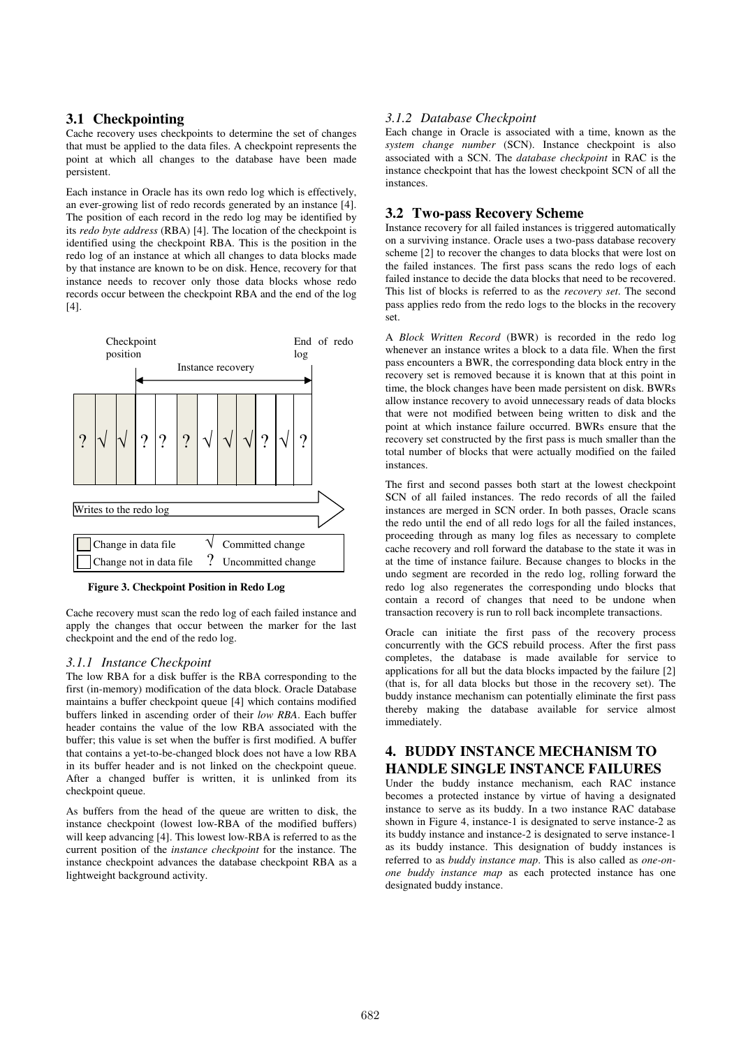# **3.1 Checkpointing**

Cache recovery uses checkpoints to determine the set of changes that must be applied to the data files. A checkpoint represents the point at which all changes to the database have been made persistent.

Each instance in Oracle has its own redo log which is effectively, an ever-growing list of redo records generated by an instance [4]. The position of each record in the redo log may be identified by its *redo byte address* (RBA) [4]. The location of the checkpoint is identified using the checkpoint RBA. This is the position in the redo log of an instance at which all changes to data blocks made by that instance are known to be on disk. Hence, recovery for that instance needs to recover only those data blocks whose redo records occur between the checkpoint RBA and the end of the log  $[4]$ .



**Figure 3. Checkpoint Position in Redo Log** 

Cache recovery must scan the redo log of each failed instance and apply the changes that occur between the marker for the last checkpoint and the end of the redo log.

### *3.1.1 Instance Checkpoint*

The low RBA for a disk buffer is the RBA corresponding to the first (in-memory) modification of the data block. Oracle Database maintains a buffer checkpoint queue [4] which contains modified buffers linked in ascending order of their *low RBA*. Each buffer header contains the value of the low RBA associated with the buffer; this value is set when the buffer is first modified. A buffer that contains a yet-to-be-changed block does not have a low RBA in its buffer header and is not linked on the checkpoint queue. After a changed buffer is written, it is unlinked from its checkpoint queue.

As buffers from the head of the queue are written to disk, the instance checkpoint (lowest low-RBA of the modified buffers) will keep advancing [4]. This lowest low-RBA is referred to as the current position of the *instance checkpoint* for the instance. The instance checkpoint advances the database checkpoint RBA as a lightweight background activity.

### *3.1.2 Database Checkpoint*

Each change in Oracle is associated with a time, known as the *system change number* (SCN). Instance checkpoint is also associated with a SCN. The *database checkpoint* in RAC is the instance checkpoint that has the lowest checkpoint SCN of all the instances.

## **3.2 Two-pass Recovery Scheme**

Instance recovery for all failed instances is triggered automatically on a surviving instance. Oracle uses a two-pass database recovery scheme [2] to recover the changes to data blocks that were lost on the failed instances. The first pass scans the redo logs of each failed instance to decide the data blocks that need to be recovered. This list of blocks is referred to as the *recovery set*. The second pass applies redo from the redo logs to the blocks in the recovery set.

A *Block Written Record* (BWR) is recorded in the redo log whenever an instance writes a block to a data file. When the first pass encounters a BWR, the corresponding data block entry in the recovery set is removed because it is known that at this point in time, the block changes have been made persistent on disk. BWRs allow instance recovery to avoid unnecessary reads of data blocks that were not modified between being written to disk and the point at which instance failure occurred. BWRs ensure that the recovery set constructed by the first pass is much smaller than the total number of blocks that were actually modified on the failed instances.

The first and second passes both start at the lowest checkpoint SCN of all failed instances. The redo records of all the failed instances are merged in SCN order. In both passes, Oracle scans the redo until the end of all redo logs for all the failed instances, proceeding through as many log files as necessary to complete cache recovery and roll forward the database to the state it was in at the time of instance failure. Because changes to blocks in the undo segment are recorded in the redo log, rolling forward the redo log also regenerates the corresponding undo blocks that contain a record of changes that need to be undone when transaction recovery is run to roll back incomplete transactions.

Oracle can initiate the first pass of the recovery process concurrently with the GCS rebuild process. After the first pass completes, the database is made available for service to applications for all but the data blocks impacted by the failure [2] (that is, for all data blocks but those in the recovery set). The buddy instance mechanism can potentially eliminate the first pass thereby making the database available for service almost immediately.

# **4. BUDDY INSTANCE MECHANISM TO HANDLE SINGLE INSTANCE FAILURES**

Under the buddy instance mechanism, each RAC instance becomes a protected instance by virtue of having a designated instance to serve as its buddy. In a two instance RAC database shown in Figure 4, instance-1 is designated to serve instance-2 as its buddy instance and instance-2 is designated to serve instance-1 as its buddy instance. This designation of buddy instances is referred to as *buddy instance map*. This is also called as *one-onone buddy instance map* as each protected instance has one designated buddy instance.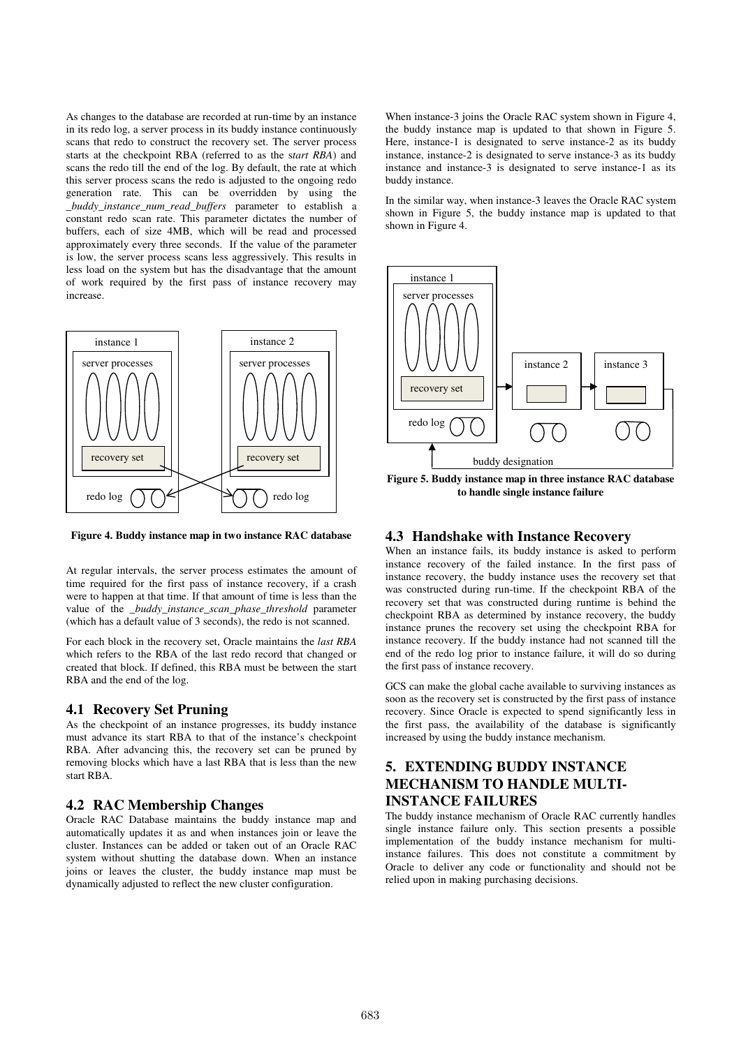As changes to the database are recorded at run-time by an instance in its redo log, a server process in its buddy instance continuously scans that redo to construct the recovery set. The server process starts at the checkpoint RBA (referred to as the s*tart RBA*) and scans the redo till the end of the log. By default, the rate at which this server process scans the redo is adjusted to the ongoing redo generation rate. This can be overridden by using the *\_buddy\_instance\_num\_read\_buffers* parameter to establish a constant redo scan rate. This parameter dictates the number of buffers, each of size 4MB, which will be read and processed approximately every three seconds. If the value of the parameter is low, the server process scans less aggressively. This results in less load on the system but has the disadvantage that the amount of work required by the first pass of instance recovery may increase.



**Figure 4. Buddy instance map in two instance RAC database** 

At regular intervals, the server process estimates the amount of time required for the first pass of instance recovery, if a crash were to happen at that time. If that amount of time is less than the value of the *\_buddy\_instance\_scan\_phase\_threshold* parameter (which has a default value of 3 seconds), the redo is not scanned.

For each block in the recovery set, Oracle maintains the *last RBA* which refers to the RBA of the last redo record that changed or created that block. If defined, this RBA must be between the start RBA and the end of the log.

### **4.1 Recovery Set Pruning**

As the checkpoint of an instance progresses, its buddy instance must advance its start RBA to that of the instance's checkpoint RBA. After advancing this, the recovery set can be pruned by removing blocks which have a last RBA that is less than the new start RBA.

### **4.2 RAC Membership Changes**

Oracle RAC Database maintains the buddy instance map and automatically updates it as and when instances join or leave the cluster. Instances can be added or taken out of an Oracle RAC system without shutting the database down. When an instance joins or leaves the cluster, the buddy instance map must be dynamically adjusted to reflect the new cluster configuration.

When instance-3 joins the Oracle RAC system shown in Figure 4, the buddy instance map is updated to that shown in Figure 5. Here, instance-1 is designated to serve instance-2 as its buddy instance, instance-2 is designated to serve instance-3 as its buddy instance and instance-3 is designated to serve instance-1 as its buddy instance.

In the similar way, when instance-3 leaves the Oracle RAC system shown in Figure 5, the buddy instance map is updated to that shown in Figure 4.



**Figure 5. Buddy instance map in three instance RAC database to handle single instance failure** 

## **4.3 Handshake with Instance Recovery**

When an instance fails, its buddy instance is asked to perform instance recovery of the failed instance. In the first pass of instance recovery, the buddy instance uses the recovery set that was constructed during run-time. If the checkpoint RBA of the recovery set that was constructed during runtime is behind the checkpoint RBA as determined by instance recovery, the buddy instance prunes the recovery set using the checkpoint RBA for instance recovery. If the buddy instance had not scanned till the end of the redo log prior to instance failure, it will do so during the first pass of instance recovery.

GCS can make the global cache available to surviving instances as soon as the recovery set is constructed by the first pass of instance recovery. Since Oracle is expected to spend significantly less in the first pass, the availability of the database is significantly increased by using the buddy instance mechanism.

# **5. EXTENDING BUDDY INSTANCE MECHANISM TO HANDLE MULTI-INSTANCE FAILURES**

The buddy instance mechanism of Oracle RAC currently handles single instance failure only. This section presents a possible implementation of the buddy instance mechanism for multiinstance failures. This does not constitute a commitment by Oracle to deliver any code or functionality and should not be relied upon in making purchasing decisions.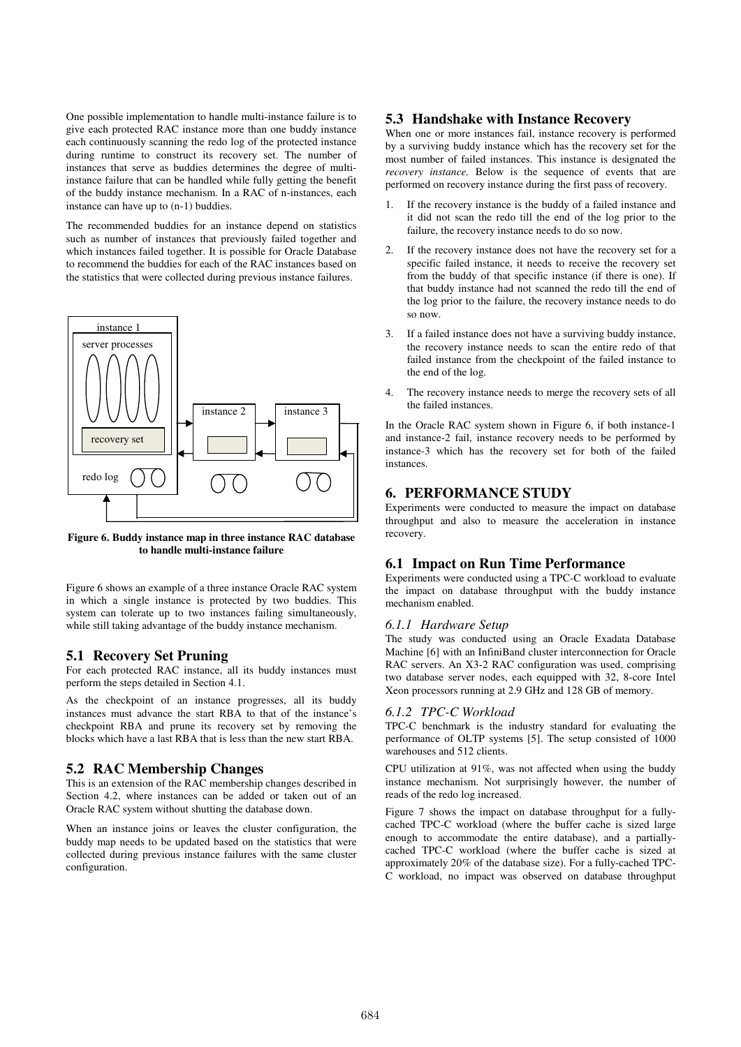One possible implementation to handle multi-instance failure is to give each protected RAC instance more than one buddy instance each continuously scanning the redo log of the protected instance during runtime to construct its recovery set. The number of instances that serve as buddies determines the degree of multiinstance failure that can be handled while fully getting the benefit of the buddy instance mechanism. In a RAC of n-instances, each instance can have up to (n-1) buddies.

The recommended buddies for an instance depend on statistics such as number of instances that previously failed together and which instances failed together. It is possible for Oracle Database to recommend the buddies for each of the RAC instances based on the statistics that were collected during previous instance failures.



**Figure 6. Buddy instance map in three instance RAC database to handle multi-instance failure** 

Figure 6 shows an example of a three instance Oracle RAC system in which a single instance is protected by two buddies. This system can tolerate up to two instances failing simultaneously, while still taking advantage of the buddy instance mechanism.

### **5.1 Recovery Set Pruning**

For each protected RAC instance, all its buddy instances must perform the steps detailed in Section 4.1.

As the checkpoint of an instance progresses, all its buddy instances must advance the start RBA to that of the instance's checkpoint RBA and prune its recovery set by removing the blocks which have a last RBA that is less than the new start RBA.

### **5.2 RAC Membership Changes**

This is an extension of the RAC membership changes described in Section 4.2, where instances can be added or taken out of an Oracle RAC system without shutting the database down.

When an instance joins or leaves the cluster configuration, the buddy map needs to be updated based on the statistics that were collected during previous instance failures with the same cluster configuration.

# **5.3 Handshake with Instance Recovery**

When one or more instances fail, instance recovery is performed by a surviving buddy instance which has the recovery set for the most number of failed instances. This instance is designated the *recovery instance*. Below is the sequence of events that are performed on recovery instance during the first pass of recovery.

- 1. If the recovery instance is the buddy of a failed instance and it did not scan the redo till the end of the log prior to the failure, the recovery instance needs to do so now.
- 2. If the recovery instance does not have the recovery set for a specific failed instance, it needs to receive the recovery set from the buddy of that specific instance (if there is one). If that buddy instance had not scanned the redo till the end of the log prior to the failure, the recovery instance needs to do so now.
- 3. If a failed instance does not have a surviving buddy instance, the recovery instance needs to scan the entire redo of that failed instance from the checkpoint of the failed instance to the end of the log.
- 4. The recovery instance needs to merge the recovery sets of all the failed instances.

In the Oracle RAC system shown in Figure 6, if both instance-1 and instance-2 fail, instance recovery needs to be performed by instance-3 which has the recovery set for both of the failed instances.

### **6. PERFORMANCE STUDY**

Experiments were conducted to measure the impact on database throughput and also to measure the acceleration in instance recovery.

# **6.1 Impact on Run Time Performance**

Experiments were conducted using a TPC-C workload to evaluate the impact on database throughput with the buddy instance mechanism enabled.

#### *6.1.1 Hardware Setup*

The study was conducted using an Oracle Exadata Database Machine [6] with an InfiniBand cluster interconnection for Oracle RAC servers. An X3-2 RAC configuration was used, comprising two database server nodes, each equipped with 32, 8-core Intel Xeon processors running at 2.9 GHz and 128 GB of memory.

#### *6.1.2 TPC-C Workload*

TPC-C benchmark is the industry standard for evaluating the performance of OLTP systems [5]. The setup consisted of 1000 warehouses and 512 clients.

CPU utilization at 91%, was not affected when using the buddy instance mechanism. Not surprisingly however, the number of reads of the redo log increased.

Figure 7 shows the impact on database throughput for a fullycached TPC-C workload (where the buffer cache is sized large enough to accommodate the entire database), and a partiallycached TPC-C workload (where the buffer cache is sized at approximately 20% of the database size). For a fully-cached TPC-C workload, no impact was observed on database throughput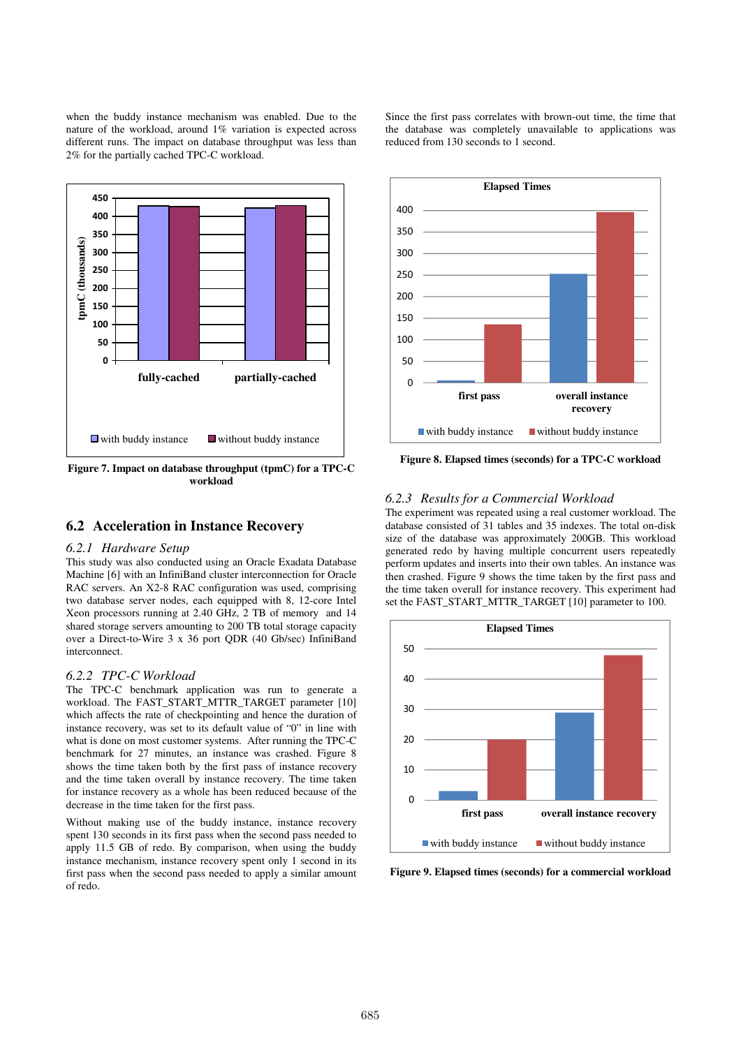when the buddy instance mechanism was enabled. Due to the nature of the workload, around 1% variation is expected across different runs. The impact on database throughput was less than 2% for the partially cached TPC-C workload.



**Figure 7. Impact on database throughput (tpmC) for a TPC-C workload** 

# **6.2 Acceleration in Instance Recovery**

### *6.2.1 Hardware Setup*

This study was also conducted using an Oracle Exadata Database Machine [6] with an InfiniBand cluster interconnection for Oracle RAC servers. An X2-8 RAC configuration was used, comprising two database server nodes, each equipped with 8, 12-core Intel Xeon processors running at 2.40 GHz, 2 TB of memory and 14 shared storage servers amounting to 200 TB total storage capacity over a Direct-to-Wire 3 x 36 port QDR (40 Gb/sec) InfiniBand interconnect.

### *6.2.2 TPC-C Workload*

The TPC-C benchmark application was run to generate a workload. The FAST\_START\_MTTR\_TARGET\_parameter [10] which affects the rate of checkpointing and hence the duration of instance recovery, was set to its default value of "0" in line with what is done on most customer systems. After running the TPC-C benchmark for 27 minutes, an instance was crashed. Figure 8 shows the time taken both by the first pass of instance recovery and the time taken overall by instance recovery. The time taken for instance recovery as a whole has been reduced because of the decrease in the time taken for the first pass.

Without making use of the buddy instance, instance recovery spent 130 seconds in its first pass when the second pass needed to apply 11.5 GB of redo. By comparison, when using the buddy instance mechanism, instance recovery spent only 1 second in its first pass when the second pass needed to apply a similar amount of redo.

Since the first pass correlates with brown-out time, the time that the database was completely unavailable to applications was reduced from 130 seconds to 1 second.



**Figure 8. Elapsed times (seconds) for a TPC-C workload** 

### *6.2.3 Results for a Commercial Workload*

The experiment was repeated using a real customer workload. The database consisted of 31 tables and 35 indexes. The total on-disk size of the database was approximately 200GB. This workload generated redo by having multiple concurrent users repeatedly perform updates and inserts into their own tables. An instance was then crashed. Figure 9 shows the time taken by the first pass and the time taken overall for instance recovery. This experiment had set the FAST\_START\_MTTR\_TARGET [10] parameter to 100.



**Figure 9. Elapsed times (seconds) for a commercial workload**